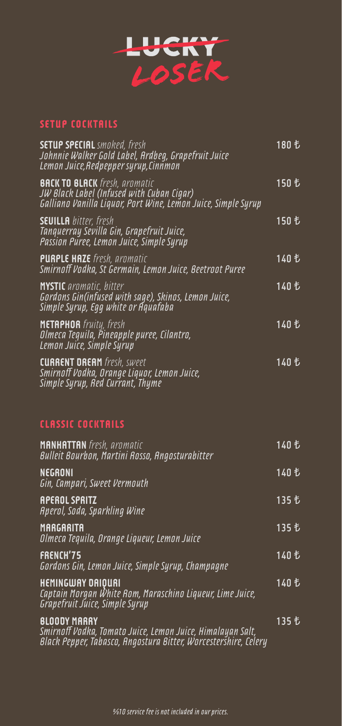

#### **SETUP COCKTAILS**

| <b>SETUP SPECIAL</b> smoked, fresh<br>Johnnie Walker Gold Label, Ardbeg, Grapefruit Juice<br>Lemon Juice, Redpepper syrup, Cinnmon                   | 180 も  |
|------------------------------------------------------------------------------------------------------------------------------------------------------|--------|
| <b>BACK TO BLACK</b> fresh, aromatic<br>JW Black Label (Infused with Cuban Cigar)<br>Galliano Vanilla Liquor, Port Wine, Lemon Juice, Simple Syrup   | 150 も  |
| <b>SEUILLA</b> bitter, fresh<br>Tanquerray Sevilla Gin, Grapefruit Juice,<br>Passion Puree, Lemon Juice, Simple Syrup                                |        |
| <b>PURPLE HAZE</b> fresh, aromatic<br>Smirnoff Vodka, St Germain, Lemon Juice, Beetroot Puree                                                        | 140 も  |
| <b>MYSTIC</b> aromatic, bitter<br>Gordons Gin(infused with sage), Skinos, Lemon Juice,<br>Simple Syrup, Eqq white or Aquafaba                        | 140 も  |
| <b>METAPHOR</b> fruity, fresh<br>Olmeca Tequila, Pineapple puree, Cilantro,<br>Lemon Juice, Simple Syrup                                             | 140 も  |
| <b>CURRENT DREAM</b> fresh, sweet<br>Smirnoff Vodka, Orange Liquor, Lemon Juice,<br>Simple Syrup, Red Currant, Thyme                                 | 140 乜  |
|                                                                                                                                                      |        |
| <b>CLASSIC COCKTAILS</b>                                                                                                                             |        |
| <b>MANHATTAN</b> fresh, aromatic<br>Bulleit Bourbon, Martini Rosso, Angosturabitter                                                                  | 140 も  |
| <b>NEGRONI</b><br>Gin, Campari, Sweet Vermouth                                                                                                       | 140 も  |
| <b>APEROL SPRITZ</b><br>Aperol, Soda, Sparkling Wine                                                                                                 |        |
| MARGARITA<br>Olmeca Tequila, Orange Liqueur, Lemon Juice                                                                                             | 135 も  |
| FRENCH'75<br>Gordons Gin, Lemon Juice, Simple Syrup, Champagne                                                                                       | 140  も |
| <b>HEMINGWAY DAIOURI</b><br>Captain Morgan White Rom, Maraschino Liqueur, Lime Juice,<br>Grapefruit Juice, Simple Syrup                              |        |
| <b>BLOODY MARRY</b><br>Smirnoff Vodka, Tomato Juice, Lemon Juice, Himalayan Salt,<br>Black Pepper, Tabasco, Angostura Bitter, Worcestershire, Celery | 135 も  |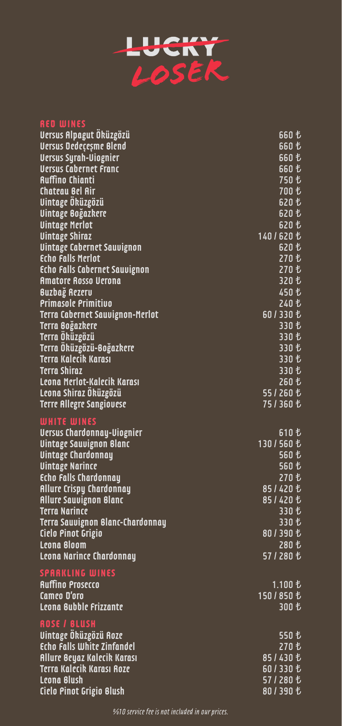

# **RED WINES**

| Versus Alpagut Oküzgözü                                             | 660 も       |
|---------------------------------------------------------------------|-------------|
| Versus Dedeçeşme Blend                                              | 660 も       |
| <b>Uersus Syrah-Uiognier</b>                                        | 660 も       |
| <b>Uersus Cabernet Franc</b>                                        | 660 も       |
| <b>Ruffino Chianti</b>                                              | 750 も       |
| Chateau Bel Air                                                     | 700 も       |
| Vintage Öküzgözü                                                    | 620 も       |
| Uintage Boğazkere                                                   | 620 も       |
| <b>Uintage Merlot</b>                                               | 620 も       |
| <b>Uintage Shiraz</b>                                               | 140/620 も   |
| Uintage Cabernet Sauvignon                                          | 620 乜       |
| <b>Echo Falls Merlot</b>                                            |             |
| <b>Echo Falls Cabernet Sauvignon</b>                                | 270 も       |
| <b>Amatore Rosso Verona</b>                                         | 320 も       |
| Buzbağ Rezerv                                                       | 450 乜       |
| <b>Primasole Primitivo</b>                                          | 240 も       |
| <b>Terra Cabernet Sauvignon-Merlot</b>                              | 601330も     |
| Terra Boğazkere                                                     | 330 も       |
| Terra Öküzgözü                                                      | 330 も       |
| Terra Öküzgözü-Boğazkere                                            | 330 も       |
| Terra Kalecik Karası                                                | 330 も       |
| <b>Terra Shiraz</b>                                                 | 330 も       |
| Leona Merlot-Kalecik Karası                                         | 260 も       |
| Leona Shiraz Öküzgözü                                               | 551260      |
| <b>Terre Allegre Sangiovese</b>                                     | 751360 乜    |
| <b>WHITE WINES</b>                                                  |             |
|                                                                     | 610 乜       |
| <b>Uersus Chardonnay-Uiognier</b><br><u>Uintage Sauvignon Blanc</u> | 130/560も    |
| <b>Uintage Chardonnay</b>                                           | 560 も       |
| <b>Uintage Narince</b>                                              | 560 も       |
| Echo Falls Chardonnay                                               | 270 も       |
| <b>Allure Crispy Chardonnay</b>                                     | 851420 乜    |
| <b>Allure Sauvignon Blanc</b>                                       | 851420 乜    |
| <b>Terra Narince</b>                                                | 330 も       |
| Terra Sauvignon Blanc-Chardonnay                                    | 330 も       |
| Ciclo Pinot Grigio                                                  | 801390も     |
| Leona Bloom                                                         | 280 も       |
| Leona Narince Chardonnay                                            | 571280 も    |
|                                                                     |             |
| <b>SPARKLING WINES</b>                                              |             |
| <b>Ruffino Prosecco</b>                                             | 1.100 も     |
| Camco D'oro                                                         | 150 / 850 も |
| Leona Bubble Frizzante                                              | 300 も       |
| <b>ROSE / BLUSH</b>                                                 |             |
| Vintage Öküzgözü Roze                                               | 550 乜       |
| Echo Falls White Zinfandel                                          | 270 も       |
| Allure Beyaz Kalecik Karası                                         | 85/430 も    |
| <b>Terra Kalecik Karası Roze</b>                                    | 601330も     |
| Leona Blush                                                         | 571280 も    |
| Cielo Pinot Grigio Blush                                            | 801390も     |
|                                                                     |             |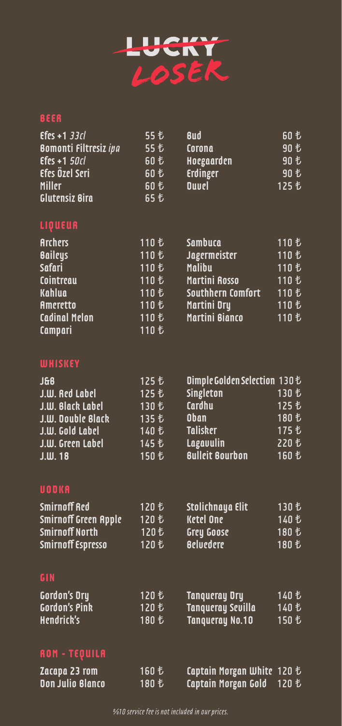

### **BEER**

| $E$ fes +1 33 $cl$<br><b>Bomonti Filtresiz ipa</b><br>$E$ fes +1 50 $cl$<br>Efes Özel Seri<br>Miller<br><b>Glutensiz Bira</b> | 55 も<br>55 乜<br>60 乜<br>60 乜<br>60 も<br>65 乜                         | <b>Bud</b><br>Corona<br>Hoegaarden<br>Erdinger<br><b>Duvel</b>                                                         | 60 乜<br>90 乜<br>90 も<br>90 も<br>125 も                       |
|-------------------------------------------------------------------------------------------------------------------------------|----------------------------------------------------------------------|------------------------------------------------------------------------------------------------------------------------|-------------------------------------------------------------|
| LIQUEUR                                                                                                                       |                                                                      |                                                                                                                        |                                                             |
| <b>Archers</b><br><b>Baileys</b><br><b>Safari</b><br>Cointreau<br>Kahlua<br>Ameretto<br><b>Cadinal Melon</b><br>Campari       | 110 も<br>110 も<br>110 も<br>110 も<br>110 も<br>110 も<br>110 も<br>110 も | Sambuca<br>Jagermeister<br><b>Malibu</b><br><b>Martini Rosso</b><br>Southhern Comfort<br>Martini Dry<br>Martini Bianco | 110 も<br>110 も<br>110 も<br>110 も<br>110 も<br>110 も<br>110 も |

## **WHISKEY**

| <b>J&amp;B</b>           | 125   | Dimple Golden Selection 130 も |       |
|--------------------------|-------|-------------------------------|-------|
| J.W. Red Label           | 125 も | Singleton                     | 130 も |
| J.W. Black Label         | 130 も | Cardhu                        | 125 艺 |
| <b>J.W. Double Black</b> | 135 も | <b>Oban</b>                   | 180 も |
| J.W. Gold Label          | 140 も | <b>Talisker</b>               | 175 も |
| J.W. Green Label         | 145 も | Lagavulin                     | 220 艺 |
| $J.W.$ 18                | 150 も | <b>Bulleit Bourbon</b>        | 160 も |

## **VODKA**

| Smirnoff Red                |        | Stolichnaya Elit | 130 も |
|-----------------------------|--------|------------------|-------|
| <b>Smirnoff Green Apple</b> | 120  七 | <b>Ketel One</b> | 140 も |
| Smirnoff North              | 120  七 | Grey Goose       | 180 も |
| Smirnoff Espresso           |        | <b>Beluedere</b> | 180 も |

# **GIN**

| <b>Gordon's Dry</b>  | <b>Tangueray Dry</b>   |  |
|----------------------|------------------------|--|
| <b>Gordon's Pink</b> | Tanqueray Sevilla      |  |
| Hendrick's           | <b>Tangueray No.10</b> |  |

# **ROM - TEQUILA**

| Zacapa 23 rom    | 160  七 | Captain Morgan White $120 \text{ } \ell$ |  |
|------------------|--------|------------------------------------------|--|
| Don Julio Blanco |        | Captain Morgan Gold                      |  |